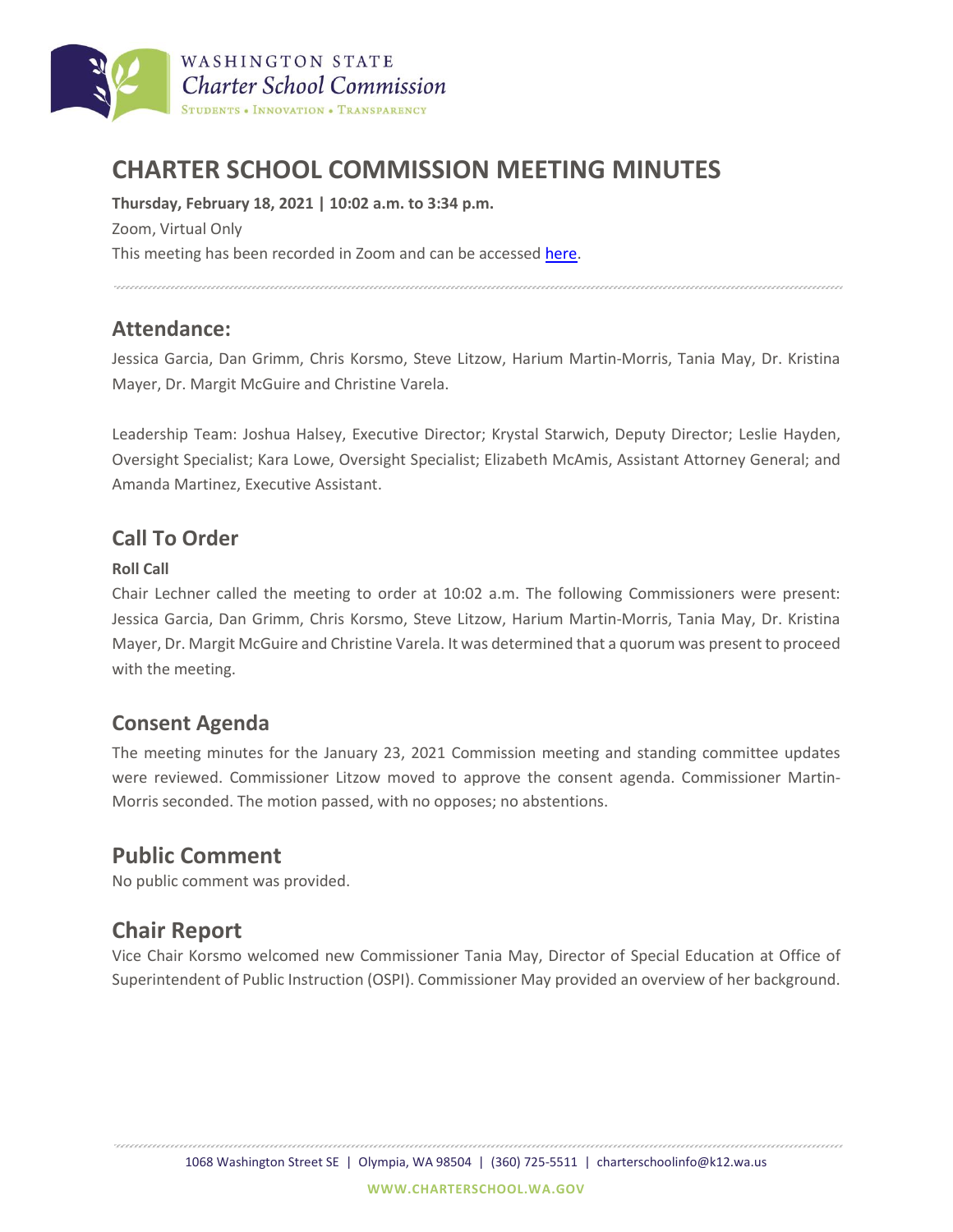

# **CHARTER SCHOOL COMMISSION MEETING MINUTES**

**Thursday, February 18, 2021 | 10:02 a.m. to 3:34 p.m.** Zoom, Virtual Only This meeting has been recorded in Zoom and can be accessed [here.](https://charterschool.box.com/s/bygoauu2y0zpue347h3vzqbmb7szoaun)

#### 

## **Attendance:**

Jessica Garcia, Dan Grimm, Chris Korsmo, Steve Litzow, Harium Martin-Morris, Tania May, Dr. Kristina Mayer, Dr. Margit McGuire and Christine Varela.

Leadership Team: Joshua Halsey, Executive Director; Krystal Starwich, Deputy Director; Leslie Hayden, Oversight Specialist; Kara Lowe, Oversight Specialist; Elizabeth McAmis, Assistant Attorney General; and Amanda Martinez, Executive Assistant.

## **Call To Order**

#### **Roll Call**

Chair Lechner called the meeting to order at 10:02 a.m. The following Commissioners were present: Jessica Garcia, Dan Grimm, Chris Korsmo, Steve Litzow, Harium Martin-Morris, Tania May, Dr. Kristina Mayer, Dr. Margit McGuire and Christine Varela. It was determined that a quorum was present to proceed with the meeting.

## **Consent Agenda**

The meeting minutes for the January 23, 2021 Commission meeting and standing committee updates were reviewed. Commissioner Litzow moved to approve the consent agenda. Commissioner Martin-Morris seconded. The motion passed, with no opposes; no abstentions.

# **Public Comment**

No public comment was provided.

# **Chair Report**

Vice Chair Korsmo welcomed new Commissioner Tania May, Director of Special Education at Office of Superintendent of Public Instruction (OSPI). Commissioner May provided an overview of her background.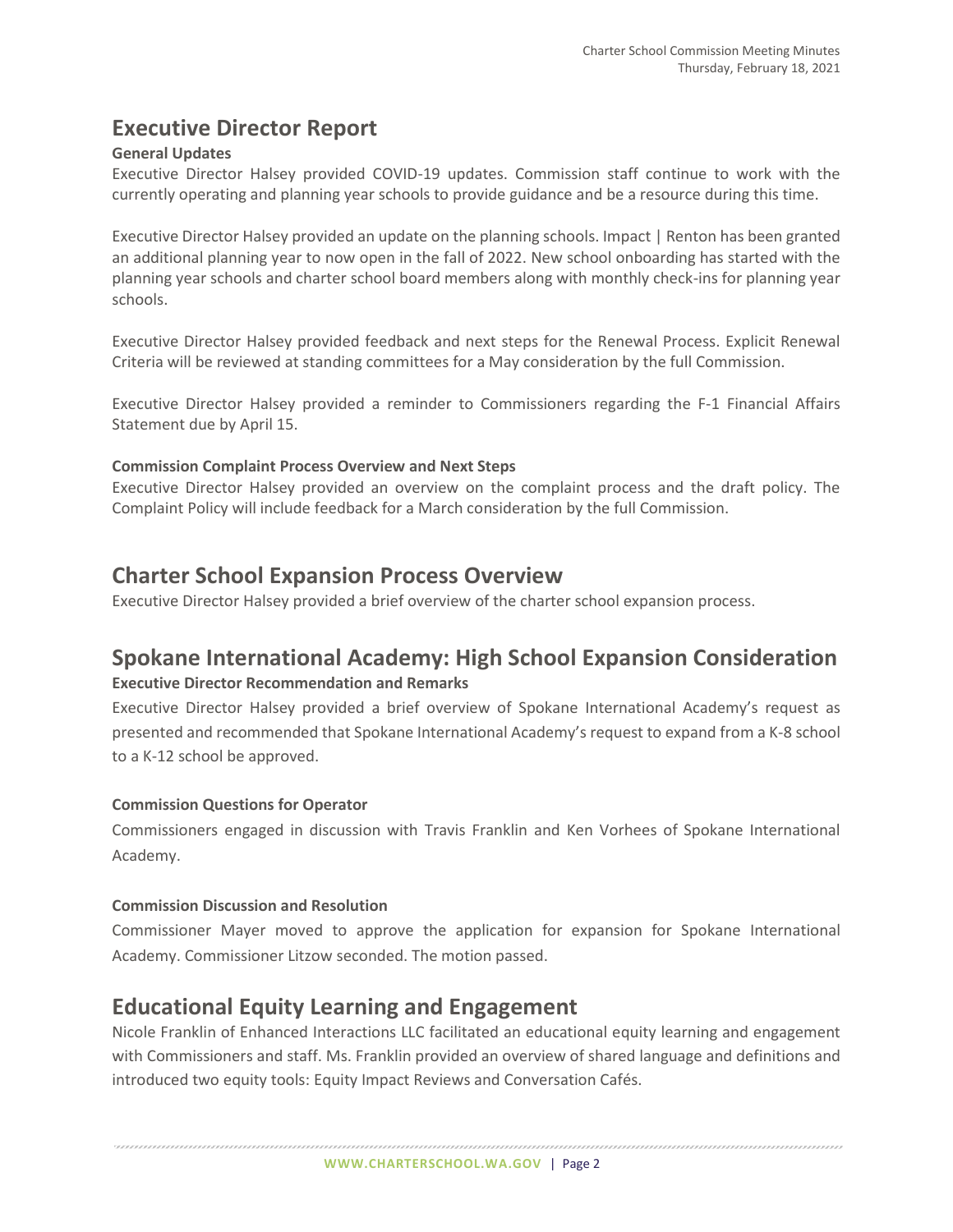# **Executive Director Report**

### **General Updates**

Executive Director Halsey provided COVID-19 updates. Commission staff continue to work with the currently operating and planning year schools to provide guidance and be a resource during this time.

Executive Director Halsey provided an update on the planning schools. Impact | Renton has been granted an additional planning year to now open in the fall of 2022. New school onboarding has started with the planning year schools and charter school board members along with monthly check-ins for planning year schools.

Executive Director Halsey provided feedback and next steps for the Renewal Process. Explicit Renewal Criteria will be reviewed at standing committees for a May consideration by the full Commission.

Executive Director Halsey provided a reminder to Commissioners regarding the F-1 Financial Affairs Statement due by April 15.

#### **Commission Complaint Process Overview and Next Steps**

Executive Director Halsey provided an overview on the complaint process and the draft policy. The Complaint Policy will include feedback for a March consideration by the full Commission.

# **Charter School Expansion Process Overview**

Executive Director Halsey provided a brief overview of the charter school expansion process.

# **Spokane International Academy: High School Expansion Consideration**

#### **Executive Director Recommendation and Remarks**

Executive Director Halsey provided a brief overview of Spokane International Academy's request as presented and recommended that Spokane International Academy's request to expand from a K-8 school to a K-12 school be approved.

#### **Commission Questions for Operator**

Commissioners engaged in discussion with Travis Franklin and Ken Vorhees of Spokane International Academy.

#### **Commission Discussion and Resolution**

Commissioner Mayer moved to approve the application for expansion for Spokane International Academy. Commissioner Litzow seconded. The motion passed.

# **Educational Equity Learning and Engagement**

Nicole Franklin of Enhanced Interactions LLC facilitated an educational equity learning and engagement with Commissioners and staff. Ms. Franklin provided an overview of shared language and definitions and introduced two equity tools: Equity Impact Reviews and Conversation Cafés.